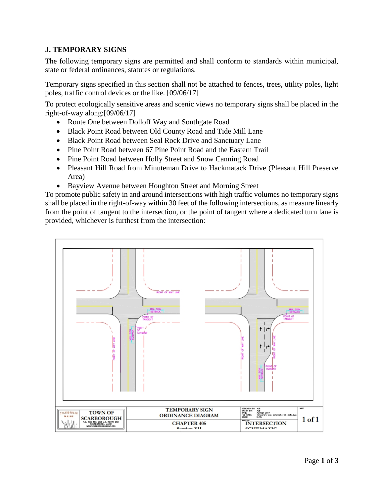## **J. TEMPORARY SIGNS**

The following temporary signs are permitted and shall conform to standards within municipal, state or federal ordinances, statutes or regulations.

Temporary signs specified in this section shall not be attached to fences, trees, utility poles, light poles, traffic control devices or the like. [09/06/17]

To protect ecologically sensitive areas and scenic views no temporary signs shall be placed in the right-of-way along:[09/06/17]

- Route One between Dolloff Way and Southgate Road
- Black Point Road between Old County Road and Tide Mill Lane
- Black Point Road between Seal Rock Drive and Sanctuary Lane
- Pine Point Road between 67 Pine Point Road and the Eastern Trail
- Pine Point Road between Holly Street and Snow Canning Road
- Pleasant Hill Road from Minuteman Drive to Hackmatack Drive (Pleasant Hill Preserve Area)
- Bayview Avenue between Houghton Street and Morning Street

To promote public safety in and around intersections with high traffic volumes no temporary signs shall be placed in the right-of-way within 30 feet of the following intersections, as measure linearly from the point of tangent to the intersection, or the point of tangent where a dedicated turn lane is provided, whichever is furthest from the intersection:

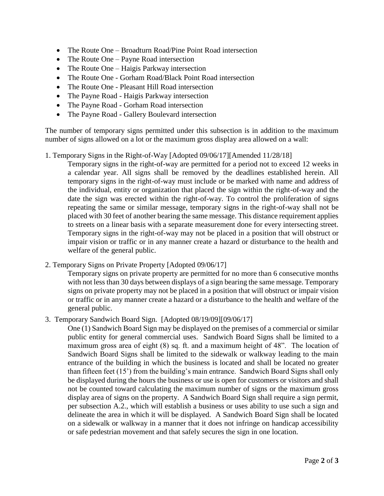- The Route One Broadturn Road/Pine Point Road intersection
- The Route One Payne Road intersection
- The Route One Haigis Parkway intersection
- The Route One Gorham Road/Black Point Road intersection
- The Route One Pleasant Hill Road intersection
- The Payne Road Haigis Parkway intersection
- The Payne Road Gorham Road intersection
- The Payne Road Gallery Boulevard intersection

The number of temporary signs permitted under this subsection is in addition to the maximum number of signs allowed on a lot or the maximum gross display area allowed on a wall:

1. Temporary Signs in the Right-of-Way [Adopted 09/06/17][Amended 11/28/18]

Temporary signs in the right-of-way are permitted for a period not to exceed 12 weeks in a calendar year. All signs shall be removed by the deadlines established herein. All temporary signs in the right-of-way must include or be marked with name and address of the individual, entity or organization that placed the sign within the right-of-way and the date the sign was erected within the right-of-way. To control the proliferation of signs repeating the same or similar message, temporary signs in the right-of-way shall not be placed with 30 feet of another bearing the same message. This distance requirement applies to streets on a linear basis with a separate measurement done for every intersecting street. Temporary signs in the right-of-way may not be placed in a position that will obstruct or impair vision or traffic or in any manner create a hazard or disturbance to the health and welfare of the general public.

2. Temporary Signs on Private Property [Adopted 09/06/17]

Temporary signs on private property are permitted for no more than 6 consecutive months with not less than 30 days between displays of a sign bearing the same message. Temporary signs on private property may not be placed in a position that will obstruct or impair vision or traffic or in any manner create a hazard or a disturbance to the health and welfare of the general public.

3. Temporary Sandwich Board Sign. [Adopted 08/19/09][09/06/17]

One (1) Sandwich Board Sign may be displayed on the premises of a commercial or similar public entity for general commercial uses. Sandwich Board Signs shall be limited to a maximum gross area of eight (8) sq. ft. and a maximum height of 48". The location of Sandwich Board Signs shall be limited to the sidewalk or walkway leading to the main entrance of the building in which the business is located and shall be located no greater than fifteen feet (15') from the building's main entrance. Sandwich Board Signs shall only be displayed during the hours the business or use is open for customers or visitors and shall not be counted toward calculating the maximum number of signs or the maximum gross display area of signs on the property. A Sandwich Board Sign shall require a sign permit, per subsection A.2., which will establish a business or uses ability to use such a sign and delineate the area in which it will be displayed. A Sandwich Board Sign shall be located on a sidewalk or walkway in a manner that it does not infringe on handicap accessibility or safe pedestrian movement and that safely secures the sign in one location.